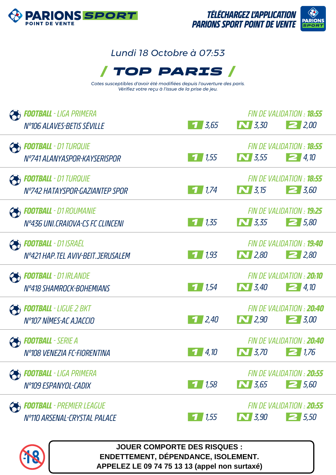

# **ARIONS**

# *Lundi 18 Octobre à 07:53*



*Cotes susceptibles d'avoir été modifiées depuis l'ouverture des paris. Vérifiez votre reçu à l'issue de la prise de jeu.*

| <b>COOTBALL</b> - LIGA PRIMERA                                   |                    |                                                                               | FIN DE VALIDATION : <b>18:55</b> |
|------------------------------------------------------------------|--------------------|-------------------------------------------------------------------------------|----------------------------------|
| Nº106 ALAVES-BETIS SEVILLE                                       | $7 \, 3.65$        | $\sim$ 3,30                                                                   | 22,00                            |
| <b>PE FOOTBALL</b> - D1 TURQUIE                                  |                    |                                                                               | FIN DE VALIDATION : <b>18:55</b> |
| Nº741 ALANYASPOR-KAYSERISPOR                                     | 1/1,55             | $\begin{array}{ c c }\hline \textbf{N} & \textbf{3.55} \\ \hline \end{array}$ | $\boxed{=}$ 4,10                 |
| <b>PEDICITEALL</b> - D1 TURQUIE                                  |                    |                                                                               | FIN DE VALIDATION : <b>18:55</b> |
| N°742 HATAYSPOR-GAZIANTEP SPOR                                   | 11.74              | $\sum$ 3,15                                                                   | $\geq 3,60$                      |
| <b>FOOTBALL</b> - D1 ROUMANIE                                    |                    |                                                                               | FIN DE VALIDATION : <b>19:25</b> |
| Nº436 UNI.CRAIOVA-CS FC CLINCENI                                 | 1/1,35             | $\sim$ 3,35                                                                   | $2\,5.80$                        |
| <b>CHE FOOTBALL</b> - D1 ISRAËL                                  |                    |                                                                               | FIN DE VALIDATION : <b>19:40</b> |
| N°421 HAP. TEL AVIV-BEIT. JERUSALEM                              | 1/1,93             | $\sum$ 2,80                                                                   | $\geq$ 2,80                      |
|                                                                  |                    |                                                                               | FIN DE VALIDATION : 20:10        |
|                                                                  |                    |                                                                               |                                  |
| <b>PS FOOTBALL</b> - D1 IRLANDE<br>Nº418 SHAMROCK-BOHEMIANS      | 71,54              | $\sum$ 3,40                                                                   | 24,10                            |
| <b>FOOTBALL</b> - LIGUE 2 BKT                                    |                    |                                                                               | FIN DE VALIDATION : 20:40        |
| N°107 NÎMES-AC AJACCIO                                           | 72,40              | $\bf N$ 2,90                                                                  | $\geq 3.00$                      |
|                                                                  |                    |                                                                               | FIN DE VALIDATION : 20:40        |
| <b>COOTBALL</b> - SERIE A<br>N°108 VENEZIA FC-FIORENTINA         | $\frac{1}{4}$ , 10 | $\bf N$ 3,70                                                                  | 21.76                            |
| <b>Football</b> - Liga Primera                                   |                    |                                                                               | FIN DE VALIDATION : 20:55        |
| N°109 ESPANYOL-CADIX                                             | 1/1,58             | $\sim$ 3,65                                                                   | $2\,5.60$                        |
|                                                                  |                    |                                                                               | FIN DE VALIDATION : 20:55        |
| <b>FOOTBALL</b> - PREMIER LEAGUE<br>Nº110 ARSENAL-CRYSTAL PALACE | $\frac{1}{1}$ 1,55 | <b>N</b> 3,90                                                                 | 25,50                            |



**JOUER COMPORTE DES RISQUES : ENDETTEMENT, DÉPENDANCE, ISOLEMENT. APPELEZ LE 09 74 75 13 13 (appel non surtaxé)**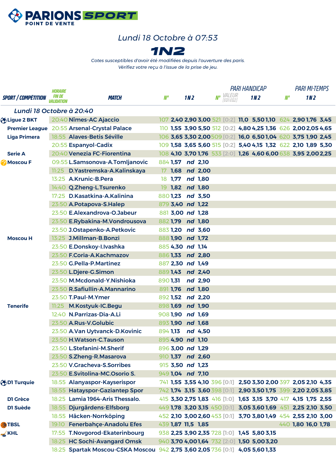

### *Lundi 18 Octobre à 07:53*



*Cotes susceptibles d'avoir été modifiées depuis l'ouverture des paris. Vérifiez votre reçu à l'issue de la prise de jeu.*

|                            | <b>HORAIRE</b>                            |                                                                              |    |                    |                 |                  |                                      | <b>PARI HANDICAP</b>                                           |       | <b>PARI MI-TEMPS</b> |                 |  |
|----------------------------|-------------------------------------------|------------------------------------------------------------------------------|----|--------------------|-----------------|------------------|--------------------------------------|----------------------------------------------------------------|-------|----------------------|-----------------|--|
| <b>SPORT / COMPÉTITION</b> | <i><b>FIN DE</b></i><br><i>VALIDATION</i> | <i><b>MATCH</b></i>                                                          | N° |                    | 1N <sub>2</sub> |                  | <b>Nº</b> <i>VALEUR</i><br>[EQ1:EQ2] | 1N <sub>2</sub>                                                | $M^o$ |                      | 1N <sub>2</sub> |  |
| Lundi 18 Octobre à 20:40   |                                           |                                                                              |    |                    |                 |                  |                                      |                                                                |       |                      |                 |  |
| bLigue 2 BKT               |                                           | 20:40 Nîmes-AC Ajaccio                                                       |    |                    |                 |                  |                                      | 107 2,40 2,90 3,00 521 [0:2] 11,0 5,50 1,10 624 2,90 1,76 3,45 |       |                      |                 |  |
|                            |                                           | Premier League 20:55 Arsenal-Crystal Palace                                  |    |                    |                 |                  |                                      | 110 1,55 3,90 5,50 512 [0:2] 4,80 4,25 1,36 626 2,00 2,05 4,65 |       |                      |                 |  |
| <b>Liga Primera</b>        |                                           | 18:55 Alaves-Betis Séville                                                   |    |                    |                 |                  |                                      | 106 3,65 3,30 2,00509 [0:2] 16,0 6,50 1,04 620 3,75 1,90 2,45  |       |                      |                 |  |
|                            |                                           | 20:55 Espanyol-Cadix                                                         |    |                    |                 |                  |                                      | 109 1,58 3,65 5,60 515 [0:2] 5,40 4,15 1,32 622 2,10 1,89 5,30 |       |                      |                 |  |
| <b>Serie A</b>             |                                           | 20:40 Venezia FC-Fiorentina                                                  |    |                    |                 |                  |                                      | 108 4,10 3,70 1,76 533 [2:0] 1,26 4,60 6,00 638 3,95 2,00 2,25 |       |                      |                 |  |
| Moscou F                   |                                           | 09:55 L.Samsonova-A.Tomljanovic                                              |    | 884 1,57 nd 2,10   |                 |                  |                                      |                                                                |       |                      |                 |  |
|                            |                                           | 11:25 D. Yastremska-A. Kalinskaya                                            |    |                    |                 | 17 1,68 nd 2,00  |                                      |                                                                |       |                      |                 |  |
|                            |                                           | 13:25 A.Krunic-B.Pera                                                        |    | 18 1,77 nd 1,80    |                 |                  |                                      |                                                                |       |                      |                 |  |
|                            |                                           | 14:40 Q.Zheng-L.Tsurenko                                                     |    | 19 1,82 nd 1,80    |                 |                  |                                      |                                                                |       |                      |                 |  |
|                            |                                           | 17:25 D.Kasatkina-A.Kalinina                                                 |    |                    |                 | 8801,23 nd 3,50  |                                      |                                                                |       |                      |                 |  |
|                            |                                           | 23:50 A.Potapova-S.Halep                                                     |    | 879 3,40 nd 1,22   |                 |                  |                                      |                                                                |       |                      |                 |  |
|                            |                                           | 23:50 E.Alexandrova-O.Jabeur                                                 |    | 881 3,00 nd 1,28   |                 |                  |                                      |                                                                |       |                      |                 |  |
|                            |                                           | 23:50 E.Rybakina-M.Vondrousova                                               |    | 882 1,79 nd 1,80   |                 |                  |                                      |                                                                |       |                      |                 |  |
|                            |                                           | 23:50 J.Ostapenko-A.Petkovic                                                 |    |                    |                 | 883 1,20 nd 3,60 |                                      |                                                                |       |                      |                 |  |
| <b>Moscou H</b>            |                                           | 13:25 J.Millman-B.Bonzi                                                      |    | 8881,90 nd 1,72    |                 |                  |                                      |                                                                |       |                      |                 |  |
|                            |                                           | 23:50 E.Donskoy-I.Ivashka                                                    |    | 885 4,30 nd 1,14   |                 |                  |                                      |                                                                |       |                      |                 |  |
|                            |                                           | 23:50 F.Coria-A.Kachmazov                                                    |    |                    |                 | 8861,33 nd 2,80  |                                      |                                                                |       |                      |                 |  |
|                            |                                           | 23:50 G.Pella-P.Martinez                                                     |    | 887 2,30 nd 1,49   |                 |                  |                                      |                                                                |       |                      |                 |  |
|                            |                                           | 23:50 L.Djere-G.Simon                                                        |    |                    |                 | 8891,43 nd 2,40  |                                      |                                                                |       |                      |                 |  |
|                            |                                           | 23:50 M.Mcdonald-Y.Nishioka                                                  |    | 890 1,31           |                 | nd 2,90          |                                      |                                                                |       |                      |                 |  |
|                            |                                           | 23:50 R.Safiullin-A.Mannarino                                                |    | 891 1,76 nd 1,80   |                 |                  |                                      |                                                                |       |                      |                 |  |
|                            |                                           | 23:50 T.Paul-M.Ymer                                                          |    |                    |                 | 892 1,52 nd 2,20 |                                      |                                                                |       |                      |                 |  |
| <b>Tenerife</b>            |                                           | 11:25 M.Kostyuk-IC.Begu                                                      |    | 8981,69 nd 1,90    |                 |                  |                                      |                                                                |       |                      |                 |  |
|                            |                                           | 12:40 N.Parrizas-Dia-A.Li                                                    |    | 9081,90 nd 1,69    |                 |                  |                                      |                                                                |       |                      |                 |  |
|                            |                                           | 23:50 A.Rus-V.Golubic                                                        |    | 893 1,90 nd 1,68   |                 |                  |                                      |                                                                |       |                      |                 |  |
|                            |                                           | 23:50 A.Van Uytvanck-D.Kovinic                                               |    |                    |                 | 894 1,13 nd 4,50 |                                      |                                                                |       |                      |                 |  |
|                            |                                           | 23:50 H.Watson-C.Tauson                                                      |    | 895 4,90 nd 1,10   |                 |                  |                                      |                                                                |       |                      |                 |  |
|                            |                                           | 23:50 L.Stefanini-M.Sherif                                                   |    | 896 3,00 nd 1,29   |                 |                  |                                      |                                                                |       |                      |                 |  |
|                            |                                           | 23:50 S.Zheng-R.Masarova                                                     |    |                    |                 | 910 1,37 nd 2,60 |                                      |                                                                |       |                      |                 |  |
|                            |                                           | 23:50 V.Gracheva-S.Sorribes                                                  |    | 915 3,50 nd 1,23   |                 |                  |                                      |                                                                |       |                      |                 |  |
|                            |                                           | 23:50 E.Svitolina-MC.Osorio S.                                               |    | 949 1,04 nd 7,10   |                 |                  |                                      |                                                                |       |                      |                 |  |
| <b>ODI Turquie</b>         |                                           | 18:55 Alanyaspor-Kayserispor                                                 |    |                    |                 |                  |                                      | 741 1,55 3,55 4,10 396 [0:1] 2,50 3,30 2,00 397 2,05 2,10 4,35 |       |                      |                 |  |
|                            |                                           | 18:55 Hatayspor-Gaziantep Spor                                               |    |                    |                 |                  |                                      | 742 1,74 3,15 3,60 398 [0:1] 2,90 3,50 1,75 399 2,20 2,05 3,85 |       |                      |                 |  |
| <b>D1 Grèce</b>            |                                           | 18:25 Lamia 1964-Aris Thessalo.                                              |    |                    |                 |                  |                                      | 415 3,30 2,75 1,83 416 [1:0] 1,63 3,15 3,70 417 4,15 1,75 2,55 |       |                      |                 |  |
| D1 Suède                   |                                           | 18:55 Djurgårdens-Elfsborg                                                   |    |                    |                 |                  |                                      | 449 1,78 3,20 3,15 450 [0:1] 3,05 3,60 1,69 451 2,25 2,10 3,50 |       |                      |                 |  |
|                            |                                           | 18:55 Häcken-Norrköping                                                      |    |                    |                 |                  |                                      | 452 2,10 3,00 2,60 453 [0:1] 3,70 3,80 1,49 454 2,55 2,10 3,00 |       |                      |                 |  |
| <b>ATBSL</b>               |                                           | 19:10 Fenerbahçe-Anadolu Efes                                                |    | 439 1,87 11,5 1,85 |                 |                  |                                      |                                                                |       | 440 1,80 16,0 1,78   |                 |  |
| $\leq$ KHL                 |                                           | 17:55 T.Novgorod-Ekaterinbourg                                               |    |                    |                 |                  |                                      | 938 2,25 3,90 2,35 728 [1:0] 1,45 5,80 3,15                    |       |                      |                 |  |
|                            |                                           | 18:25 HC Sochi-Avangard Omsk                                                 |    |                    |                 |                  |                                      | 940 3,70 4,001,64 732 2:0 1,50 5,003,20                        |       |                      |                 |  |
|                            |                                           | 18:25 Spartak Moscou-CSKA Moscou 942 2,75 3,60 2,05 736 [0:1] 4,05 5,60 1,33 |    |                    |                 |                  |                                      |                                                                |       |                      |                 |  |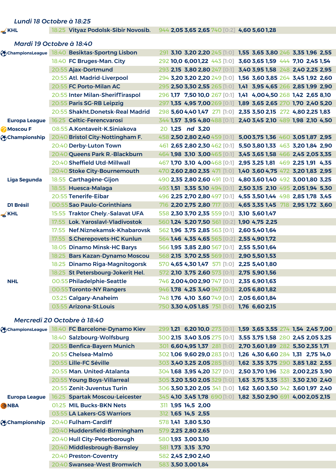|                      | Lundi 18 Octobre à 18:25                      |                                             |                                                                |
|----------------------|-----------------------------------------------|---------------------------------------------|----------------------------------------------------------------|
| $\leq$ KHL           | 18:25 Vityaz Podolsk-Sibir Novosib.           | 944 2,05 3,65 2,65 740 [0:2] 4,60 5,60 1,28 |                                                                |
|                      | Mardi 19 Octobre à 18:40                      |                                             |                                                                |
|                      | ChampionsLeague 18:40 Besiktas-Sportng Lisbon |                                             | 291 3,10 3,20 2,20 245 [1:0] 1,55 3,65 3,80 246 3,35 1,96 2,55 |
|                      | 18:40 FC Bruges-Man. City                     |                                             | 292 10,0 6,001,22 443 [1:0] 3,60 3,65 1,59 444 7,10 2,45 1,54  |
|                      | 20:55 Ajax-Dortmund                           |                                             | 293 2,15 3,80 2,80 247 [0:1] 3,40 3,95 1,58 248 2,40 2,25 2,95 |
|                      | 20:55 Atl. Madrid-Liverpool                   |                                             | 294 3,20 3,20 2,20 249 [1:0] 1,56 3,60 3,85 264 3,45 1,92 2,60 |
|                      | 20:55 FC Porto-Milan AC                       |                                             | 295 2,50 3,30 2,55 265 [1:0] 1,41 3,95 4,65 266 2,85 1,99 2,90 |
|                      | 20:55 Inter Milan-SherifTiraspol              |                                             | 296 1,17 7,50 10,0 267 [0:1] 1,41 4,00 4,50 268 1,42 2,65 8,10 |
|                      | 20:55 Paris SG-RB Leipzig                     |                                             | 297 1,35 4,95 7,00 269 [0:1] 1,89 3,65 2,65 270 1,70 2,40 5,20 |
|                      | 20:55 Shakht.Donetsk-Real Madrid              |                                             | 298 5,60 4,40 1,47 27 [1:0] 2,35 3,50 2,15 272 4,80 2,25 1,83  |
| <b>Europa League</b> | 16:25 Celtic-Ferencvarosi                     |                                             | 344 1,57 3,95 4,80 488 [0:1] 2,40 3,45 2,10 489 1,98 2,10 4,50 |
| Moscou F             | 08:55 A.Kontaveit-K.Siniakova                 | 20 1.25 nd 3.20                             |                                                                |
| Championship         | 20:40 Bristol City-Nottingham F.              |                                             | 458 2,50 2,80 2,40 459 [0:1] 5,00 3,75 1,36 460 3,05 1,87 2,95 |
|                      | 20:40 Derby-Luton Town                        |                                             | 461 2,65 2,80 2,30 462 [0:1] 5,50 3,80 1,33 463 3,20 1,84 2,90 |
|                      | 20:40 Queens Park R.-Blackburn                |                                             | 464 1,98 3,10 3,00 465 [0:1] 3,45 3,65 1,58 466 2,45 2,05 3,35 |
|                      | 20:40 Sheffield Utd-Millwall                  |                                             | 467 1,70 3,10 4,00468 [0:1] 2,95 3,25 1,81 469 2,25 1,91 4,35  |
|                      | 20:40 Stoke City-Bournemouth                  |                                             | 470 2,60 2,80 2,35 471 [1:0] 1,40 3,60 4,75 472 3,20 1,83 2,95 |
| Liga Segunda         | 18:55 Carthagène-Gijon                        |                                             | 490 2,35 2,80 2,60 491 [0:1] 4,80 3,60 1,40 492 3,00 1,80 3,25 |
|                      | 18:55 Huesca-Malaga                           |                                             | 493 1,51 3,35 5,10 494 [0:1] 2,50 3,15 2,10 495 2,05 1,94 5,30 |
|                      | 20:55 Tenerife-Eibar                          |                                             | 496 2,25 2,70 2,80 497 [0:1] 4,55 3,50 1,44 498 2,85 1,78 3,45 |
| <b>D1 Brésil</b>     | 00:55 Sao Paulo-Corinthians                   |                                             | 716 2,20 2,75 2,80 717 [0:1] 4,65 3,35 1,45 718 2,95 1,72 3,60 |
| KHL                  | 15:55 Traktor Chely.-Salavat UFA              | 558 2,30 3,70 2,35 559 [0:1] 3,10 5,60 1,47 |                                                                |
|                      | 17:55 Lok. Yaroslavl-Vladivostok              | 560 1,24 5,20 7,50 561 [0:2] 1,90 4,75 2,25 |                                                                |
|                      | 17:55 Nef.Niznekamsk-Khabarovsk               | 562 1,96 3,75 2,85 563 [0:1] 2,60 5,40 1,64 |                                                                |
|                      | 17:55 S.Cherepovets-HC Kunlun                 | 564 1,46 4,35 4,65 565 [0:2] 2,55 4,90 1,72 |                                                                |
|                      | 18:05 Dinamo Minsk-HC Barys                   | 566 1,95 3,85 2,80 567 [0:1] 2,55 5,50 1,64 |                                                                |

18:25 Bars Kazan-Dynamo Moscou 568 **2,15 3,70 2,55** 569 **[0:1] 2,90 5,50 1,53** 18:25 Dinamo Riga-Magnitogorsk 570 **4,65 4,30 1,47** 571 **[1:0] 2,25 5,40 1,80** 18:25 St Petersbourg-Jokerit Hel. 572 **2,10 3,75 2,60** 573 **[0:1] 2,75 5,90 1,56**

00:55Toronto-NY Rangers 946 **1,78 4,25 3,40** 947 **[0:1] 2,05 6,80 1,82** 03:25 Calgary-Anaheim 748 **1,76 4,10 3,60** 749 **[0:1] 2,05 6,60 1,84** 03:55 Arizona-St.Louis 750 **3,30 4,05 1,85** 751 **[1:0] 1,76 6,60 2,15**

**NHL** 00:55Philadelphie-Seattle 746 **2,00 4,00 2,90** 747 **[0:1] 2,35 6,90 1,63**

#### *Mercredi 20 Octobre à 18:40*

| ChampionsLeague      | 18:40 FC Barcelone-Dynamo Kiev | 299 1,21 6,20 10,0 273 [0:1] 1,59 3,65 3,55 274 1,54 2,45 7,00 |
|----------------------|--------------------------------|----------------------------------------------------------------|
|                      | 18:40 Salzbourg-Wolfsburg      | 300 2,15 3,40 3,05 275 [0:1] 3,55 3,75 1,58 280 2,45 2,05 3,25 |
|                      | 20:55 Benfica-Bayern Munich    | 301 6,60 4,95 1,37 281 [1:0] 2,70 3,60 1,89 282 5,30 2,35 1,71 |
|                      | 20:55 Chelsea-Malmö            | 302 1,06 9,60 29,0 283 [0:1] 1,26 4,30 6,60 284 1,31 2,75 14,0 |
|                      | 20:55 Lille-FC Séville         | 303 3,40 3,25 2,05 285 [1:0] 1,62 3,35 3,75 290 3,85 1,82 2,55 |
|                      | 20:55 Man. United-Atalanta     | 304 1,68 3,95 4,20 327 [0:1] 2,50 3,70 1,96 328 2,00 2,25 3,90 |
|                      | 20:55 Young Boys-Villarreal    | 305 3,20 3,50 2,05 329 [1:0] 1,63 3,75 3,35 331 3,30 2,10 2,40 |
|                      | 20:55 Zenit-Juventus Turin     | 306 3,50 3,20 2,05 341 [1:0] 1,62 3,60 3,50 342 3,60 1,97 2,40 |
| <b>Europa League</b> | 16:25 Spartak Moscou-Leicester | 345 4,10 3,45 1,78 690 1:0 1,82 3,50 2,90 691 4,00 2,05 2,15   |
| <b>ANBA</b>          | 01:25 MIL Bucks-BKN Nets       | 311 1,95 14,5 2,00                                             |
|                      | 03:55 LA Lakers-GS Warriors    | 312 1,65 14,5 2,55                                             |
| Championship         | 20:40 Fulham-Cardiff           | 578 1,41 3,80 5,30                                             |
|                      | 20:40 Huddersfield-Birmingham  | 579 2,25 2,80 2,65                                             |
|                      | 20:40 Hull City-Peterborough   | 580 1,93 3,00 3,10                                             |
|                      | 20:40 Middlesbrough-Barnsley   | 581 1,73 3,15 3,70                                             |
|                      | 20:40 Preston-Coventry         | 582 2,45 2,90 2,40                                             |
|                      | 20:40 Swansea-West Bromwich    | 583 3,50 3,001,84                                              |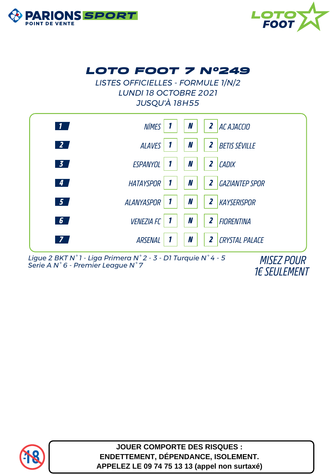



## *LOTO FOOT 7 N°249*

*LISTES OFFICIELLES - FORMULE 1/N/2 LUNDI 18 OCTOBRE 2021 JUSQU'À 18H55*



*Ligue 2 BKT N° 1 - Liga Primera N° 2 - 3 - D1 Turquie N° 4 - 5 Serie A N° 6 - Premier League N° 7 MISEZ POUR*

*1€ SEULEMENT*



**JOUER COMPORTE DES RISQUES : ENDETTEMENT, DÉPENDANCE, ISOLEMENT. APPELEZ LE 09 74 75 13 13 (appel non surtaxé)**